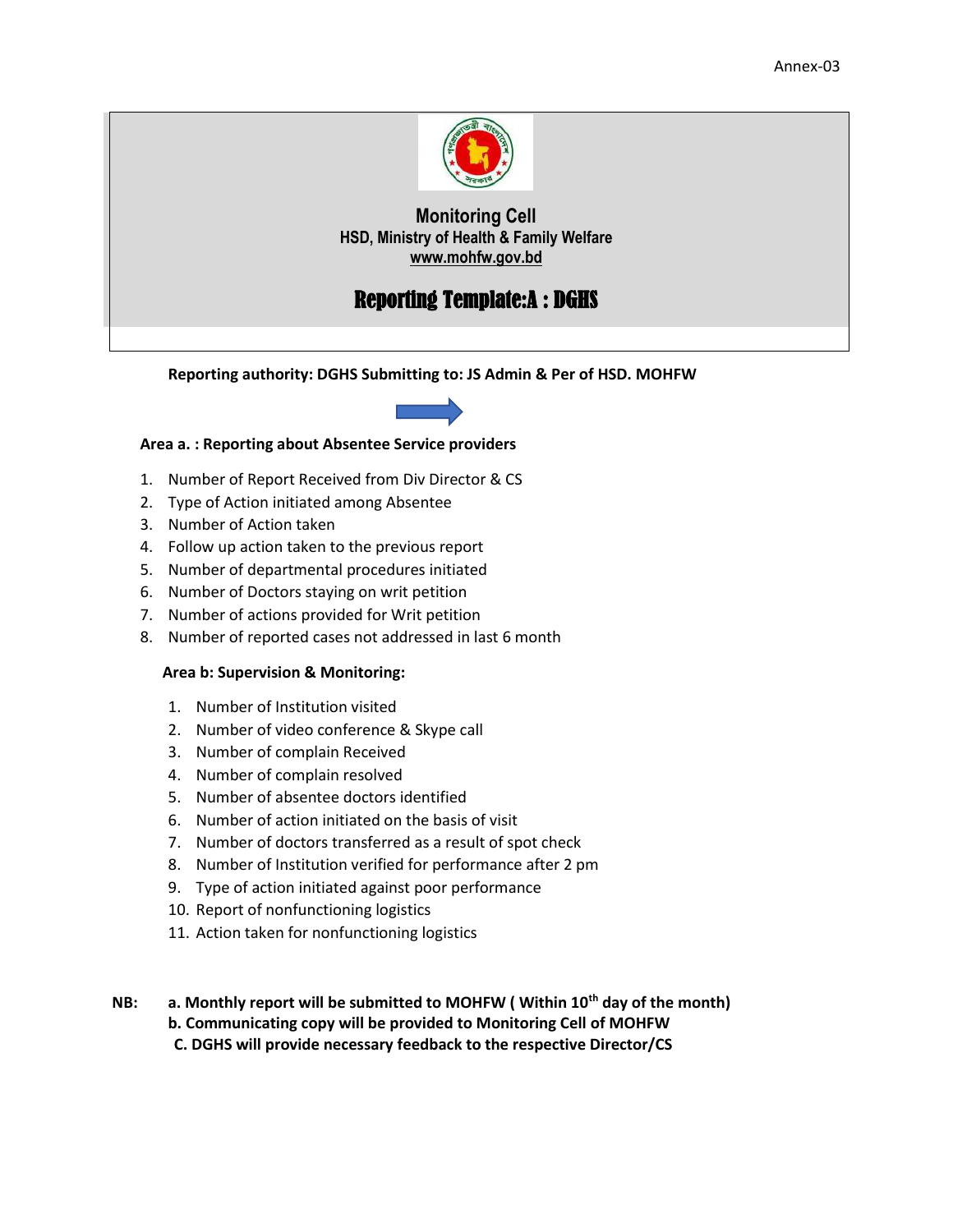

# Reporting Template:A : DGHS

**Reporting authority: DGHS Submitting to: JS Admin & Per of HSD. MOHFW**



#### **Area a. : Reporting about Absentee Service providers**

- 1. Number of Report Received from Div Director & CS
- 2. Type of Action initiated among Absentee
- 3. Number of Action taken
- 4. Follow up action taken to the previous report
- 5. Number of departmental procedures initiated
- 6. Number of Doctors staying on writ petition
- 7. Number of actions provided for Writ petition
- 8. Number of reported cases not addressed in last 6 month

#### **Area b: Supervision & Monitoring:**

- 1. Number of Institution visited
- 2. Number of video conference & Skype call
- 3. Number of complain Received
- 4. Number of complain resolved
- 5. Number of absentee doctors identified
- 6. Number of action initiated on the basis of visit
- 7. Number of doctors transferred as a result of spot check
- 8. Number of Institution verified for performance after 2 pm
- 9. Type of action initiated against poor performance
- 10. Report of nonfunctioning logistics
- 11. Action taken for nonfunctioning logistics

**NB: a. Monthly report will be submitted to MOHFW ( Within 10th day of the month) b. Communicating copy will be provided to Monitoring Cell of MOHFW C. DGHS will provide necessary feedback to the respective Director/CS**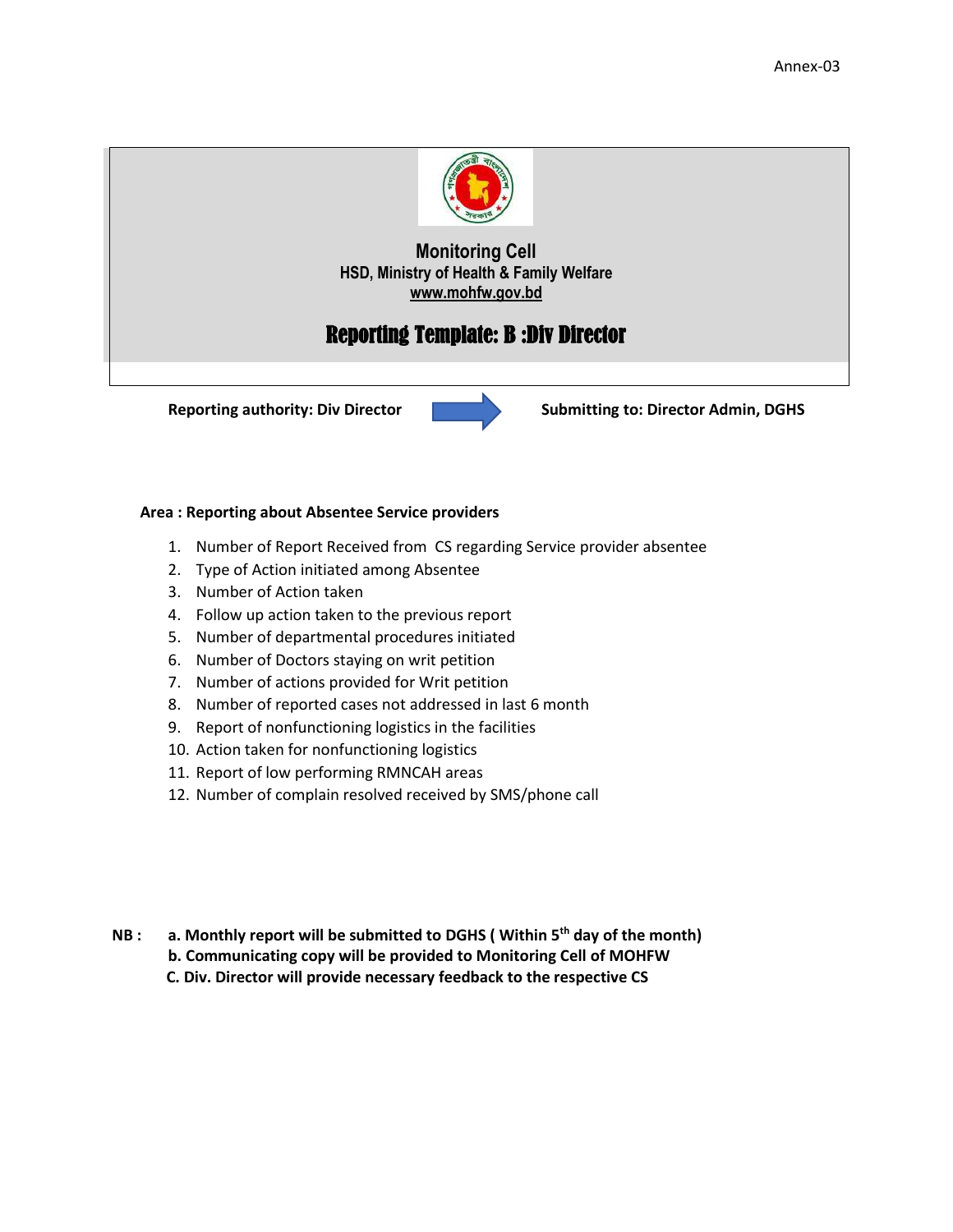

## Reporting Template: B :Div Director



**Reporting authority: Div Director Submitting to: Director Admin, DGHS** 

#### **Area : Reporting about Absentee Service providers**

- 1. Number of Report Received from CS regarding Service provider absentee
- 2. Type of Action initiated among Absentee
- 3. Number of Action taken
- 4. Follow up action taken to the previous report
- 5. Number of departmental procedures initiated
- 6. Number of Doctors staying on writ petition
- 7. Number of actions provided for Writ petition
- 8. Number of reported cases not addressed in last 6 month
- 9. Report of nonfunctioning logistics in the facilities
- 10. Action taken for nonfunctioning logistics
- 11. Report of low performing RMNCAH areas
- 12. Number of complain resolved received by SMS/phone call
- **NB : a. Monthly report will be submitted to DGHS ( Within 5th day of the month)**
	- **b. Communicating copy will be provided to Monitoring Cell of MOHFW**

 **C. Div. Director will provide necessary feedback to the respective CS**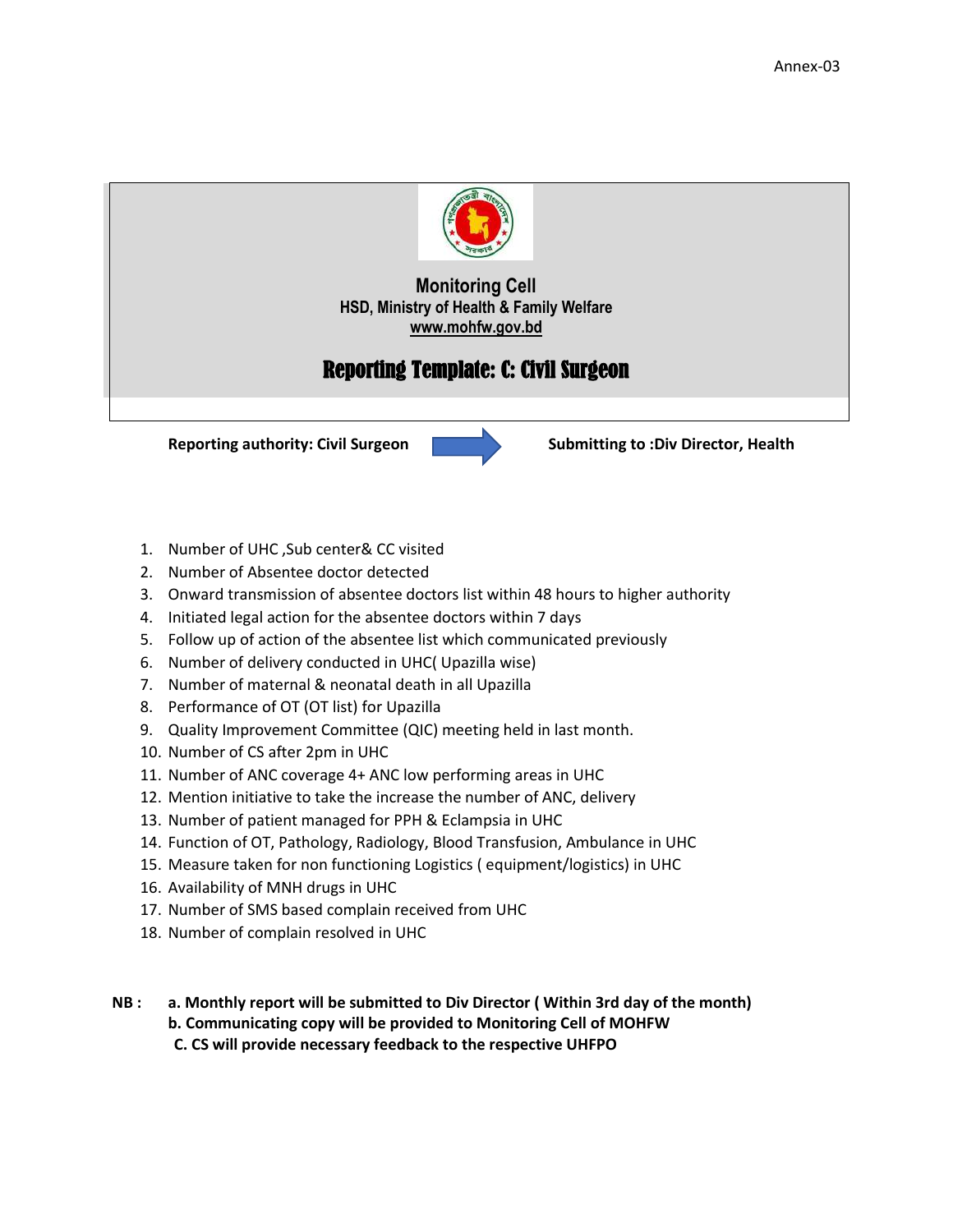

# Reporting Template: C: Civil Surgeon



- 1. Number of UHC ,Sub center& CC visited
- 2. Number of Absentee doctor detected
- 3. Onward transmission of absentee doctors list within 48 hours to higher authority
- 4. Initiated legal action for the absentee doctors within 7 days
- 5. Follow up of action of the absentee list which communicated previously
- 6. Number of delivery conducted in UHC( Upazilla wise)
- 7. Number of maternal & neonatal death in all Upazilla
- 8. Performance of OT (OT list) for Upazilla
- 9. Quality Improvement Committee (QIC) meeting held in last month.
- 10. Number of CS after 2pm in UHC
- 11. Number of ANC coverage 4+ ANC low performing areas in UHC
- 12. Mention initiative to take the increase the number of ANC, delivery
- 13. Number of patient managed for PPH & Eclampsia in UHC
- 14. Function of OT, Pathology, Radiology, Blood Transfusion, Ambulance in UHC
- 15. Measure taken for non functioning Logistics ( equipment/logistics) in UHC
- 16. Availability of MNH drugs in UHC
- 17. Number of SMS based complain received from UHC
- 18. Number of complain resolved in UHC
- **NB : a. Monthly report will be submitted to Div Director ( Within 3rd day of the month) b. Communicating copy will be provided to Monitoring Cell of MOHFW C. CS will provide necessary feedback to the respective UHFPO**